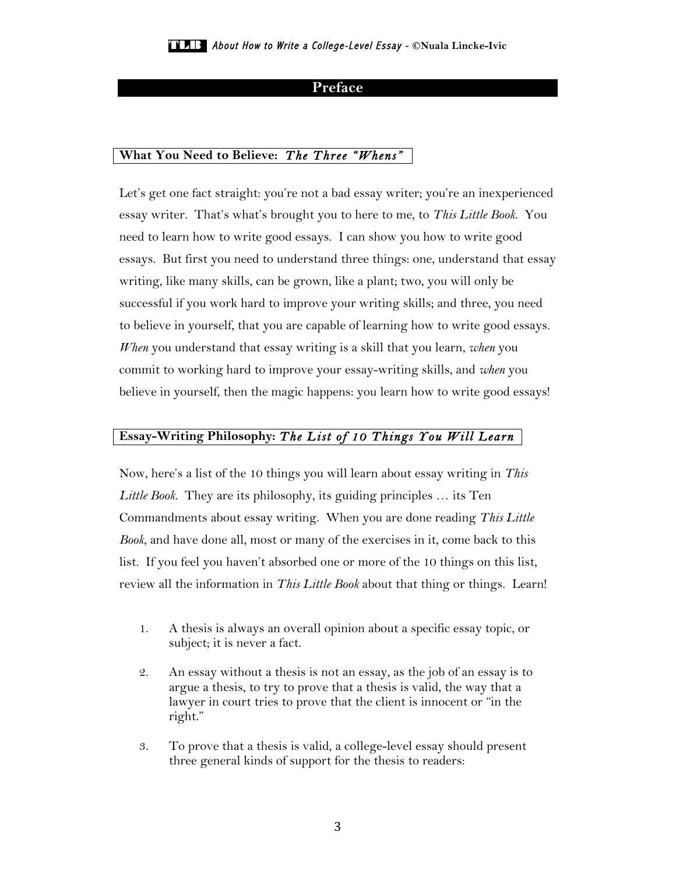# **Preface**

# **What You Need to Believe:** *The Three "Whens"*

Let's get one fact straight: you're not a bad essay writer; you're an inexperienced essay writer. That's what's brought you to here to me, to *This Little Book*. You need to learn how to write good essays. I can show you how to write good essays. But first you need to understand three things: one, understand that essay writing, like many skills, can be grown, like a plant; two, you will only be successful if you work hard to improve your writing skills; and three, you need to believe in yourself, that you are capable of learning how to write good essays. *When* you understand that essay writing is a skill that you learn, *when* you commit to working hard to improve your essay-writing skills, and *when* you believe in yourself, then the magic happens: you learn how to write good essays!

## **Essay-Writing Philosophy:** *The List of 10 Things You Will Learn*

Now, here's a list of the 10 things you will learn about essay writing in *This Little Book*. They are its philosophy, its guiding principles … its Ten Commandments about essay writing. When you are done reading *This Little Book*, and have done all, most or many of the exercises in it, come back to this list. If you feel you haven't absorbed one or more of the 10 things on this list, review all the information in *This Little Book* about that thing or things. Learn!

- 1. A thesis is always an overall opinion about a specific essay topic, or subject; it is never a fact.
- 2. An essay without a thesis is not an essay, as the job of an essay is to argue a thesis, to try to prove that a thesis is valid, the way that a lawyer in court tries to prove that the client is innocent or "in the right."
- 3. To prove that a thesis is valid, a college-level essay should present three general kinds of support for the thesis to readers: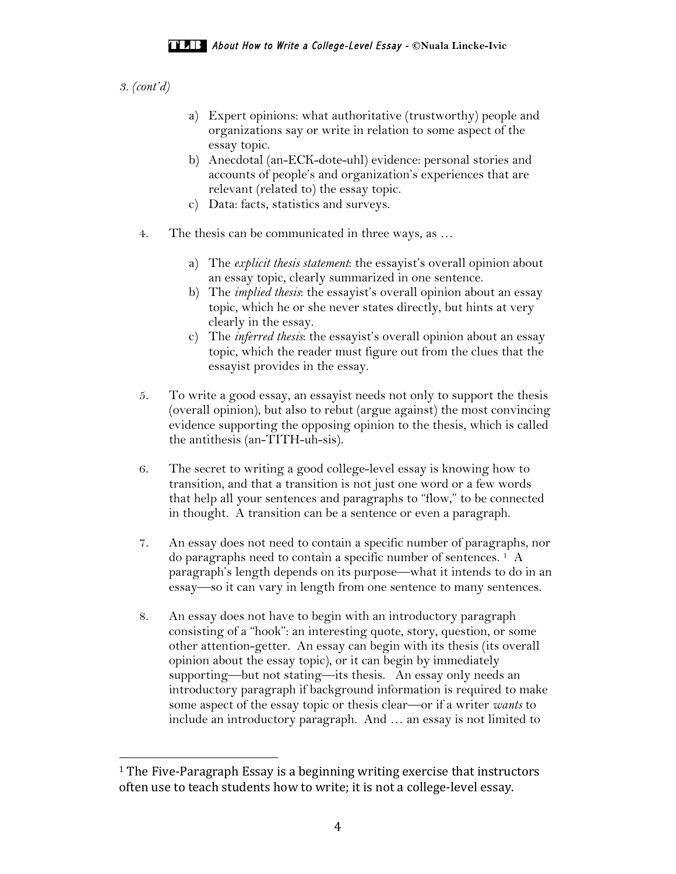*3. (cont'd)*

- a) Expert opinions: what authoritative (trustworthy) people and organizations say or write in relation to some aspect of the essay topic.
- b) Anecdotal (an-ECK-dote-uhl) evidence: personal stories and accounts of people's and organization's experiences that are relevant (related to) the essay topic.
- c) Data: facts, statistics and surveys.
- 4. The thesis can be communicated in three ways, as …
	- a) The *explicit thesis statement*: the essayist's overall opinion about an essay topic, clearly summarized in one sentence.
	- b) The *implied thesis*: the essayist's overall opinion about an essay topic, which he or she never states directly, but hints at very clearly in the essay.
	- c) The *inferred thesis*: the essayist's overall opinion about an essay topic, which the reader must figure out from the clues that the essayist provides in the essay.
- 5. To write a good essay, an essayist needs not only to support the thesis (overall opinion), but also to rebut (argue against) the most convincing evidence supporting the opposing opinion to the thesis, which is called the antithesis (an-TITH-uh-sis).
- 6. The secret to writing a good college-level essay is knowing how to transition, and that a transition is not just one word or a few words that help all your sentences and paragraphs to "flow," to be connected in thought. A transition can be a sentence or even a paragraph.
- 7. An essay does not need to contain a specific number of paragraphs, nor do paragraphs need to contain a specific number of sentences.  $<sup>1</sup>$  A</sup> paragraph's length depends on its purpose—what it intends to do in an essay—so it can vary in length from one sentence to many sentences.
- 8. An essay does not have to begin with an introductory paragraph consisting of a "hook": an interesting quote, story, question, or some other attention-getter. An essay can begin with its thesis (its overall opinion about the essay topic), or it can begin by immediately supporting—but not stating—its thesis. An essay only needs an introductory paragraph if background information is required to make some aspect of the essay topic or thesis clear—or if a writer *wants* to include an introductory paragraph. And … an essay is not limited to

 

 $<sup>1</sup>$  The Five-Paragraph Essay is a beginning writing exercise that instructors</sup> often use to teach students how to write; it is not a college-level essay.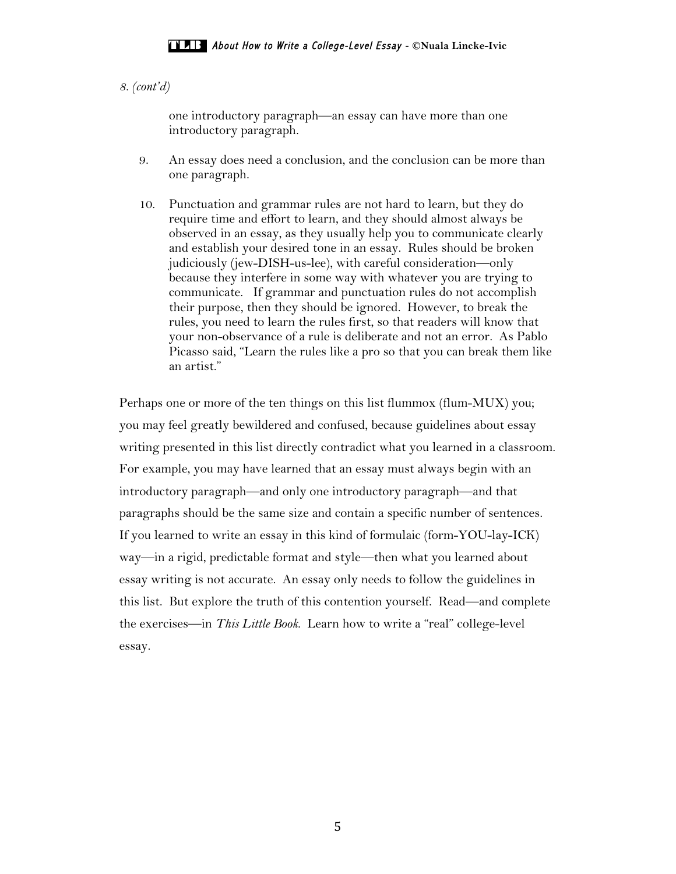# *8. (cont'd)*

one introductory paragraph—an essay can have more than one introductory paragraph.

- 9. An essay does need a conclusion, and the conclusion can be more than one paragraph.
- 10. Punctuation and grammar rules are not hard to learn, but they do require time and effort to learn, and they should almost always be observed in an essay, as they usually help you to communicate clearly and establish your desired tone in an essay. Rules should be broken judiciously (jew-DISH-us-lee), with careful consideration—only because they interfere in some way with whatever you are trying to communicate. If grammar and punctuation rules do not accomplish their purpose, then they should be ignored. However, to break the rules, you need to learn the rules first, so that readers will know that your non-observance of a rule is deliberate and not an error. As Pablo Picasso said, "Learn the rules like a pro so that you can break them like an artist."

Perhaps one or more of the ten things on this list flummox (flum-MUX) you; you may feel greatly bewildered and confused, because guidelines about essay writing presented in this list directly contradict what you learned in a classroom. For example, you may have learned that an essay must always begin with an introductory paragraph—and only one introductory paragraph—and that paragraphs should be the same size and contain a specific number of sentences. If you learned to write an essay in this kind of formulaic (form-YOU-lay-ICK) way—in a rigid, predictable format and style—then what you learned about essay writing is not accurate. An essay only needs to follow the guidelines in this list. But explore the truth of this contention yourself. Read—and complete the exercises—in *This Little Book*. Learn how to write a "real" college-level essay.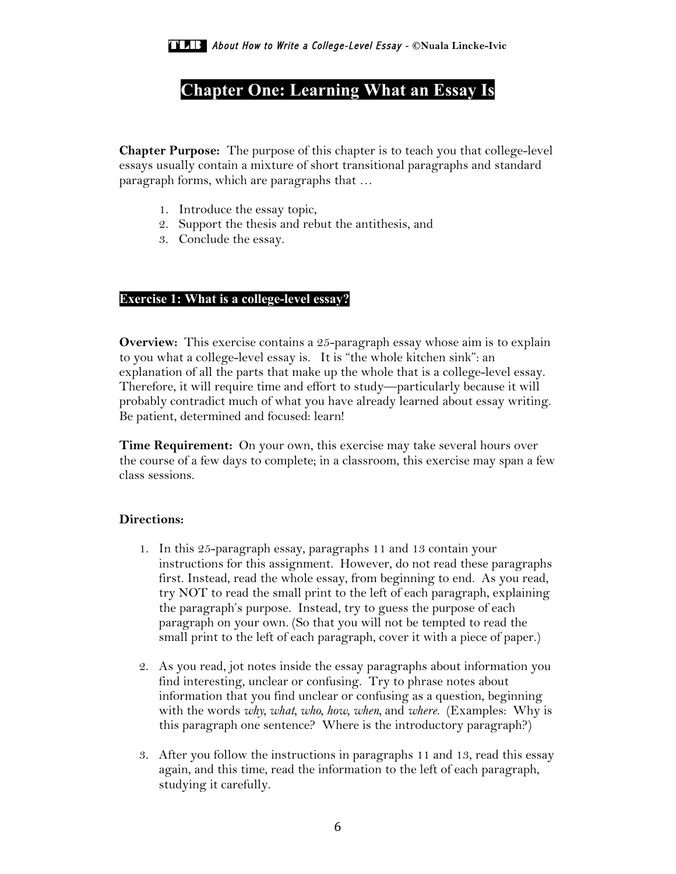# **Chapter One: Learning What an Essay Is**

**Chapter Purpose:** The purpose of this chapter is to teach you that college-level essays usually contain a mixture of short transitional paragraphs and standard paragraph forms, which are paragraphs that …

- 1. Introduce the essay topic,
- 2. Support the thesis and rebut the antithesis, and
- 3. Conclude the essay.

# **Exercise 1: What is a college-level essay?**

**Overview:** This exercise contains a 25-paragraph essay whose aim is to explain to you what a college-level essay is. It is "the whole kitchen sink": an explanation of all the parts that make up the whole that is a college-level essay. Therefore, it will require time and effort to study—particularly because it will probably contradict much of what you have already learned about essay writing. Be patient, determined and focused: learn!

**Time Requirement:** On your own, this exercise may take several hours over the course of a few days to complete; in a classroom, this exercise may span a few class sessions.

# **Directions:**

- 1. In this 25-paragraph essay, paragraphs 11 and 13 contain your instructions for this assignment. However, do not read these paragraphs first. Instead, read the whole essay, from beginning to end. As you read, try NOT to read the small print to the left of each paragraph, explaining the paragraph's purpose. Instead, try to guess the purpose of each paragraph on your own. (So that you will not be tempted to read the small print to the left of each paragraph, cover it with a piece of paper.)
- 2. As you read, jot notes inside the essay paragraphs about information you find interesting, unclear or confusing. Try to phrase notes about information that you find unclear or confusing as a question, beginning with the words *why, what, who, how, when,* and *where*. (Examples: Why is this paragraph one sentence? Where is the introductory paragraph?)
- 3. After you follow the instructions in paragraphs 11 and 13, read this essay again, and this time, read the information to the left of each paragraph, studying it carefully.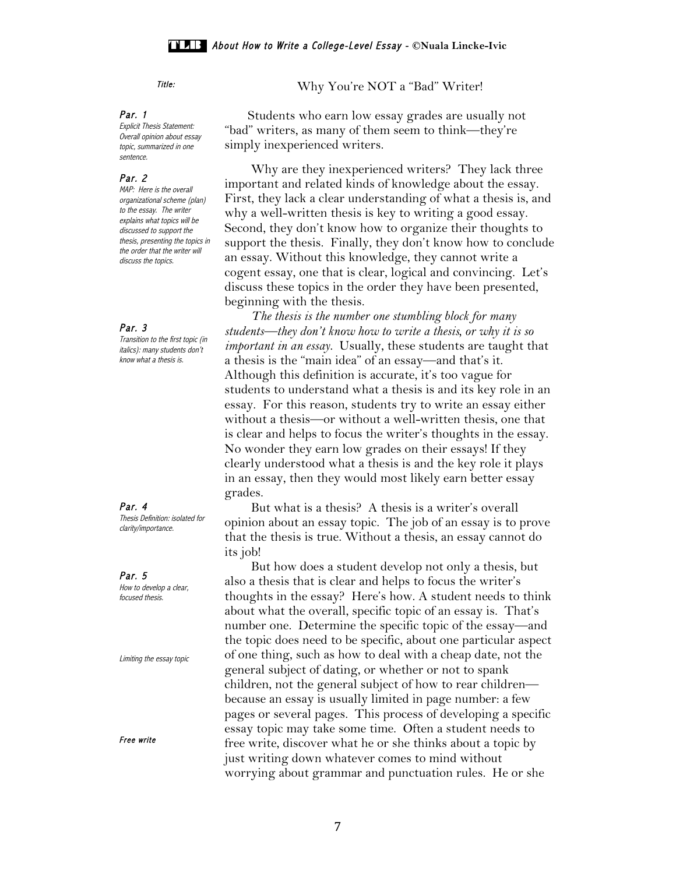#### Par. 1

Explicit Thesis Statement: Overall opinion about essay topic, summarized in one sentence.

### Par. 2

MAP: Here is the overall organizational scheme (plan) to the essay. The writer explains what topics will be discussed to support the thesis, presenting the topics in the order that the writer will discuss the topics.

### Par. 3

Transition to the first topic (in italics): many students don't know what a thesis is.

Par. 4 Thesis Definition: isolated for clarity/importance.

Par. 5 How to develop a clear, focused thesis.

Limiting the essay topic

Free write

Title: Why You're NOT a "Bad" Writer!

 Students who earn low essay grades are usually not "bad" writers, as many of them seem to think—they're simply inexperienced writers.

 Why are they inexperienced writers? They lack three important and related kinds of knowledge about the essay. First, they lack a clear understanding of what a thesis is, and why a well-written thesis is key to writing a good essay. Second, they don't know how to organize their thoughts to support the thesis. Finally, they don't know how to conclude an essay. Without this knowledge, they cannot write a cogent essay, one that is clear, logical and convincing. Let's discuss these topics in the order they have been presented, beginning with the thesis.

 *The thesis is the number one stumbling block for many students—they don't know how to write a thesis, or why it is so important in an essay.* Usually, these students are taught that a thesis is the "main idea" of an essay—and that's it. Although this definition is accurate, it's too vague for students to understand what a thesis is and its key role in an essay. For this reason, students try to write an essay either without a thesis—or without a well-written thesis, one that is clear and helps to focus the writer's thoughts in the essay. No wonder they earn low grades on their essays! If they clearly understood what a thesis is and the key role it plays in an essay, then they would most likely earn better essay grades.

 But what is a thesis? A thesis is a writer's overall opinion about an essay topic. The job of an essay is to prove that the thesis is true. Without a thesis, an essay cannot do its job!

 But how does a student develop not only a thesis, but also a thesis that is clear and helps to focus the writer's thoughts in the essay? Here's how. A student needs to think about what the overall, specific topic of an essay is. That's number one. Determine the specific topic of the essay—and the topic does need to be specific, about one particular aspect of one thing, such as how to deal with a cheap date, not the general subject of dating, or whether or not to spank children, not the general subject of how to rear children because an essay is usually limited in page number: a few pages or several pages. This process of developing a specific essay topic may take some time. Often a student needs to free write, discover what he or she thinks about a topic by just writing down whatever comes to mind without worrying about grammar and punctuation rules. He or she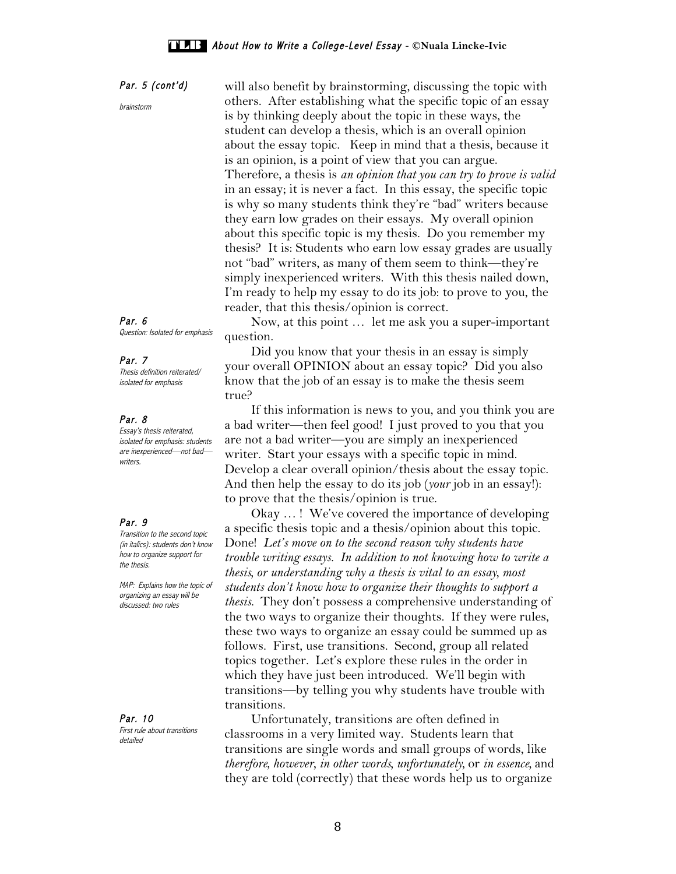Par. 5 (cont'd) brainstorm will also benefit by brainstorming, discussing the topic with others. After establishing what the specific topic of an essay is by thinking deeply about the topic in these ways, the student can develop a thesis, which is an overall opinion about the essay topic. Keep in mind that a thesis, because it is an opinion, is a point of view that you can argue. Therefore, a thesis is *an opinion that you can try to prove is valid* in an essay; it is never a fact. In this essay, the specific topic is why so many students think they're "bad" writers because they earn low grades on their essays. My overall opinion about this specific topic is my thesis. Do you remember my thesis? It is: Students who earn low essay grades are usually not "bad" writers, as many of them seem to think—they're simply inexperienced writers. With this thesis nailed down, I'm ready to help my essay to do its job: to prove to you, the reader, that this thesis/opinion is correct.

> Now, at this point … let me ask you a super-important question.

 Did you know that your thesis in an essay is simply your overall OPINION about an essay topic? Did you also know that the job of an essay is to make the thesis seem true?

 If this information is news to you, and you think you are a bad writer—then feel good! I just proved to you that you are not a bad writer—you are simply an inexperienced writer. Start your essays with a specific topic in mind. Develop a clear overall opinion/thesis about the essay topic. And then help the essay to do its job (*your* job in an essay!): to prove that the thesis/opinion is true.

 Okay … ! We've covered the importance of developing a specific thesis topic and a thesis/opinion about this topic. Done! *Let's move on to the second reason why students have trouble writing essays. In addition to not knowing how to write a thesis, or understanding why a thesis is vital to an essay, most students don't know how to organize their thoughts to support a thesis.* They don't possess a comprehensive understanding of the two ways to organize their thoughts. If they were rules, these two ways to organize an essay could be summed up as follows. First, use transitions. Second, group all related topics together. Let's explore these rules in the order in which they have just been introduced. We'll begin with transitions—by telling you why students have trouble with transitions.

 Unfortunately, transitions are often defined in classrooms in a very limited way. Students learn that transitions are single words and small groups of words, like *therefore, however, in other words, unfortunately,* or *in essence,* and they are told (correctly) that these words help us to organize

Par. 6 Question: Isolated for emphasis

### Par. 7

Thesis definition reiterated/ isolated for emphasis

#### Par. 8

Essay's thesis reiterated, isolated for emphasis: students are inexperienced—not bad writers.

### Par. 9

Transition to the second topic (in italics): students don't know how to organize support for the thesis.

MAP: Explains how the topic of organizing an essay will be discussed: two rules

Par. 10 First rule about transitions detailed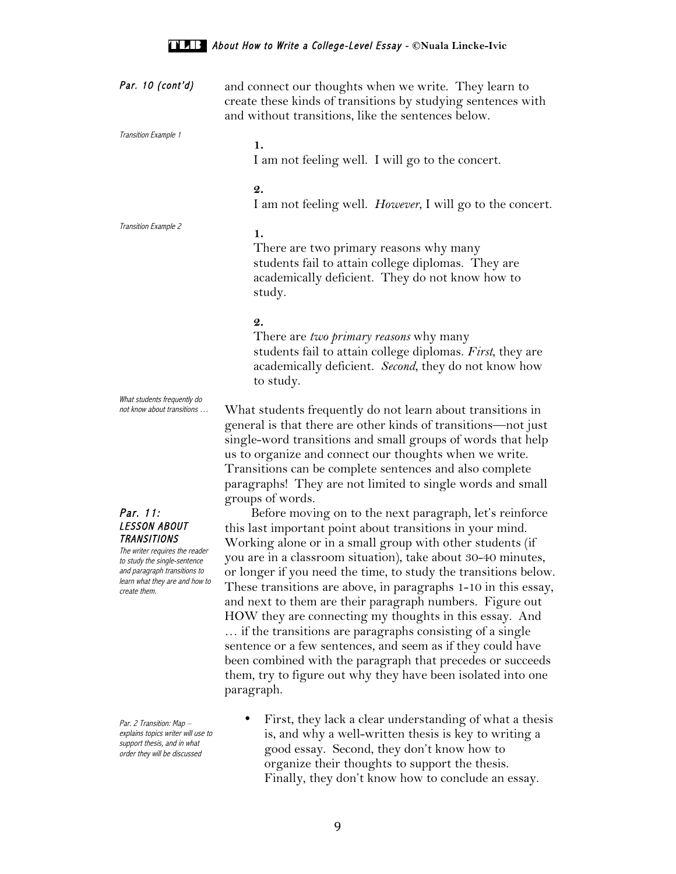| Par. 10 (cont'd)                                                                                                                                                                                                 | and connect our thoughts when we write. They learn to<br>create these kinds of transitions by studying sentences with<br>and without transitions, like the sentences below.                                                                                                                                                                                                                                                                                                                                                                                                                                                                                                                                                                                                               |
|------------------------------------------------------------------------------------------------------------------------------------------------------------------------------------------------------------------|-------------------------------------------------------------------------------------------------------------------------------------------------------------------------------------------------------------------------------------------------------------------------------------------------------------------------------------------------------------------------------------------------------------------------------------------------------------------------------------------------------------------------------------------------------------------------------------------------------------------------------------------------------------------------------------------------------------------------------------------------------------------------------------------|
| Transition Example 1                                                                                                                                                                                             | 1.<br>I am not feeling well. I will go to the concert.                                                                                                                                                                                                                                                                                                                                                                                                                                                                                                                                                                                                                                                                                                                                    |
|                                                                                                                                                                                                                  | 2.<br>I am not feeling well. However, I will go to the concert.                                                                                                                                                                                                                                                                                                                                                                                                                                                                                                                                                                                                                                                                                                                           |
| Transition Example 2                                                                                                                                                                                             | 1.<br>There are two primary reasons why many<br>students fail to attain college diplomas. They are<br>academically deficient. They do not know how to<br>study.                                                                                                                                                                                                                                                                                                                                                                                                                                                                                                                                                                                                                           |
|                                                                                                                                                                                                                  | $\mathbf{2}$ .<br>There are two <i>primary reasons</i> why many<br>students fail to attain college diplomas. First, they are<br>academically deficient. Second, they do not know how<br>to study.                                                                                                                                                                                                                                                                                                                                                                                                                                                                                                                                                                                         |
| What students frequently do<br>not know about transitions                                                                                                                                                        | What students frequently do not learn about transitions in<br>general is that there are other kinds of transitions—not just<br>single-word transitions and small groups of words that help<br>us to organize and connect our thoughts when we write.<br>Transitions can be complete sentences and also complete<br>paragraphs! They are not limited to single words and small                                                                                                                                                                                                                                                                                                                                                                                                             |
| Par. 11:<br><i><b>LESSON ABOUT</b></i><br><b>TRANSITIONS</b><br>The writer requires the reader<br>to study the single-sentence<br>and paragraph transitions to<br>learn what they are and how to<br>create them. | groups of words.<br>Before moving on to the next paragraph, let's reinforce<br>this last important point about transitions in your mind.<br>Working alone or in a small group with other students (if<br>you are in a classroom situation), take about 30-40 minutes,<br>or longer if you need the time, to study the transitions below.<br>These transitions are above, in paragraphs 1-10 in this essay,<br>and next to them are their paragraph numbers. Figure out<br>HOW they are connecting my thoughts in this essay. And<br>if the transitions are paragraphs consisting of a single<br>sentence or a few sentences, and seem as if they could have<br>been combined with the paragraph that precedes or succeeds<br>them, try to figure out why they have been isolated into one |

 Par. 2 Transition: Map – explains topics writer will use to support thesis, and in what order they will be discussed

paragraph.

• First, they lack a clear understanding of what a thesis is, and why a well-written thesis is key to writing a good essay. Second, they don't know how to organize their thoughts to support the thesis. Finally, they don't know how to conclude an essay.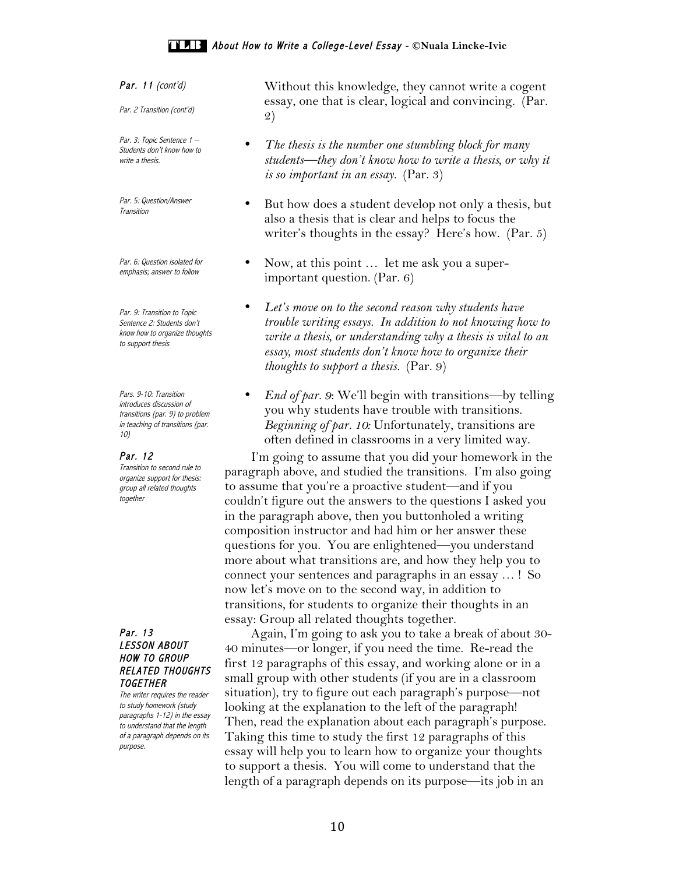Par. 11 (cont'd)

Par. 2 Transition (cont'd)

Par. 3: Topic Sentence 1 -Students don't know how to write a thesis.

Par. 5: Question/Answer **Transition** 

Par. 6: Question isolated for emphasis; answer to follow

Par. 9: Transition to Topic Sentence 2: Students don't know how to organize thoughts to support thesis

Pars. 9-10: Transition introduces discussion of transitions (par. 9) to problem in teaching of transitions (par. 10)

#### Par. 12

Transition to second rule to organize support for thesis: group all related thoughts together

### Par. 13 LESSON ABOUT HOW TO GROUP RELATED THOUGHTS **TOGETHER**

The writer requires the reader to study homework (study paragraphs 1-12) in the essay to understand that the length of a paragraph depends on its purpose.

Without this knowledge, they cannot write a cogent essay, one that is clear, logical and convincing. (Par. 2)

- *The thesis is the number one stumbling block for many students—they don't know how to write a thesis, or why it is so important in an essay.* (Par. 3)
- But how does a student develop not only a thesis, but also a thesis that is clear and helps to focus the writer's thoughts in the essay? Here's how. (Par. 5)
- Now, at this point ... let me ask you a superimportant question. (Par. 6)
- *Let's move on to the second reason why students have trouble writing essays. In addition to not knowing how to write a thesis, or understanding why a thesis is vital to an essay, most students don't know how to organize their thoughts to support a thesis.* (Par. 9)
- *End of par. 9*: We'll begin with transitions—by telling you why students have trouble with transitions. *Beginning of par. 10:* Unfortunately, transitions are often defined in classrooms in a very limited way.

 I'm going to assume that you did your homework in the paragraph above, and studied the transitions. I'm also going to assume that you're a proactive student—and if you couldn't figure out the answers to the questions I asked you in the paragraph above, then you buttonholed a writing composition instructor and had him or her answer these questions for you. You are enlightened—you understand more about what transitions are, and how they help you to connect your sentences and paragraphs in an essay … ! So now let's move on to the second way, in addition to transitions, for students to organize their thoughts in an essay: Group all related thoughts together.

 Again, I'm going to ask you to take a break of about 30- 40 minutes—or longer, if you need the time. Re-read the first 12 paragraphs of this essay, and working alone or in a small group with other students (if you are in a classroom situation), try to figure out each paragraph's purpose—not looking at the explanation to the left of the paragraph! Then, read the explanation about each paragraph's purpose. Taking this time to study the first 12 paragraphs of this essay will help you to learn how to organize your thoughts to support a thesis. You will come to understand that the length of a paragraph depends on its purpose—its job in an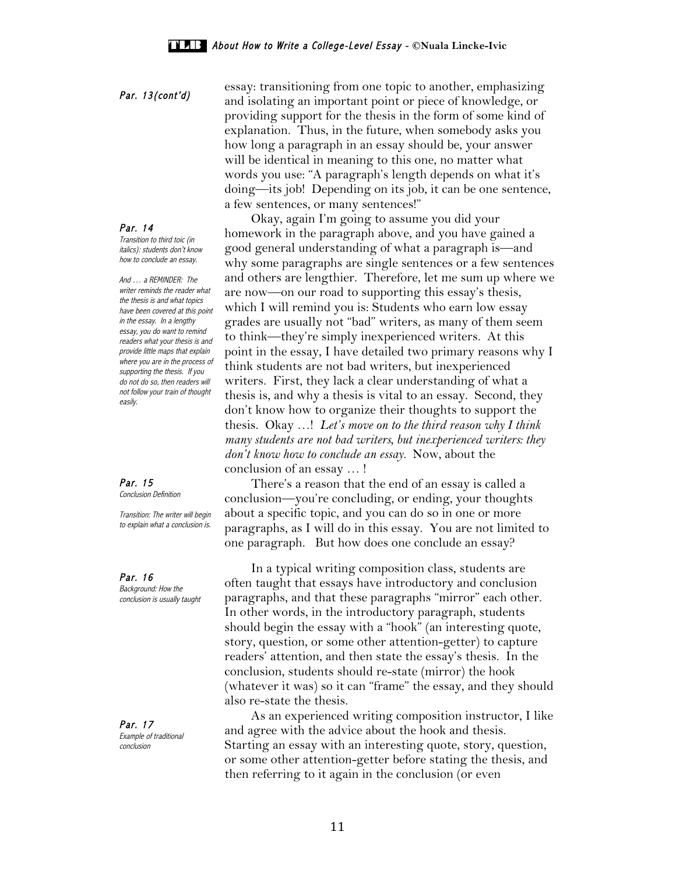### Par. 14

Transition to third toic (in italics): students don't know how to conclude an essay.

And … a REMINDER: The writer reminds the reader what the thesis is and what topics have been covered at this point in the essay. In a lengthy essay, you do want to remind readers what your thesis is and provide little maps that explain where you are in the process of supporting the thesis. If you do not do so, then readers will not follow your train of thought easily.

Par. 15 Conclusion Definition

Transition: The writer will begin to explain what a conclusion is.

Par. 16 Background: How the conclusion is usually taught

Par. 17 Example of traditional conclusion

essay: transitioning from one topic to another, emphasizing<br> **Par. 13(cont'd)** and inclutive on investment which are integral by an anomaly due on and isolating an important point or piece of knowledge, or providing support for the thesis in the form of some kind of explanation. Thus, in the future, when somebody asks you how long a paragraph in an essay should be, your answer will be identical in meaning to this one, no matter what words you use: "A paragraph's length depends on what it's doing—its job! Depending on its job, it can be one sentence, a few sentences, or many sentences!"

 Okay, again I'm going to assume you did your homework in the paragraph above, and you have gained a good general understanding of what a paragraph is—and why some paragraphs are single sentences or a few sentences and others are lengthier. Therefore, let me sum up where we are now—on our road to supporting this essay's thesis, which I will remind you is: Students who earn low essay grades are usually not "bad" writers, as many of them seem to think—they're simply inexperienced writers. At this point in the essay, I have detailed two primary reasons why I think students are not bad writers, but inexperienced writers. First, they lack a clear understanding of what a thesis is, and why a thesis is vital to an essay. Second, they don't know how to organize their thoughts to support the thesis. Okay …! *Let's move on to the third reason why I think many students are not bad writers, but inexperienced writers: they don't know how to conclude an essay.* Now, about the conclusion of an essay … !

 There's a reason that the end of an essay is called a conclusion—you're concluding, or ending, your thoughts about a specific topic, and you can do so in one or more paragraphs, as I will do in this essay. You are not limited to one paragraph. But how does one conclude an essay?

 In a typical writing composition class, students are often taught that essays have introductory and conclusion paragraphs, and that these paragraphs "mirror" each other. In other words, in the introductory paragraph, students should begin the essay with a "hook" (an interesting quote, story, question, or some other attention-getter) to capture readers' attention, and then state the essay's thesis. In the conclusion, students should re-state (mirror) the hook (whatever it was) so it can "frame" the essay, and they should also re-state the thesis.

 As an experienced writing composition instructor, I like and agree with the advice about the hook and thesis. Starting an essay with an interesting quote, story, question, or some other attention-getter before stating the thesis, and then referring to it again in the conclusion (or even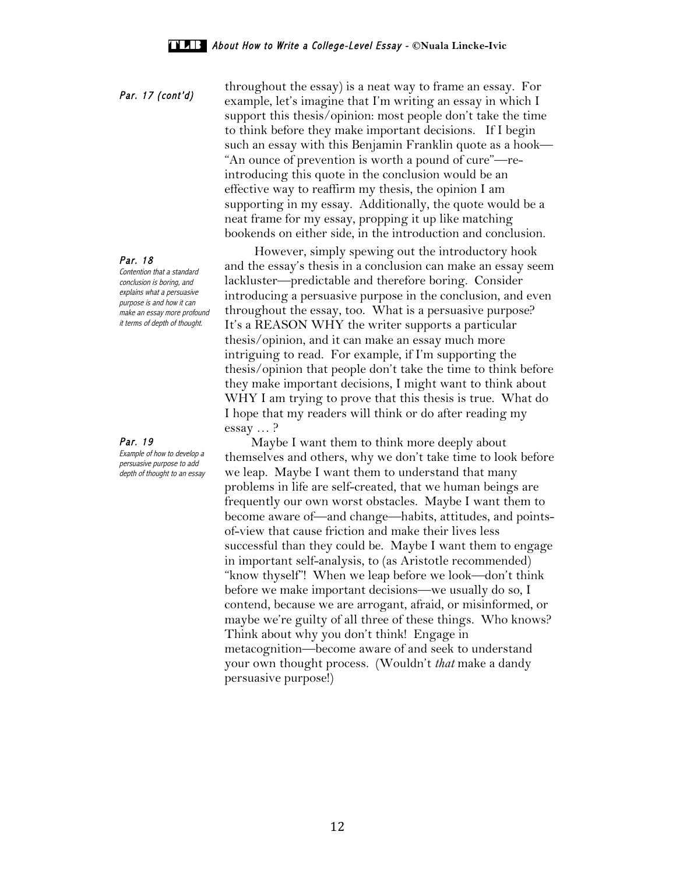throughout the essay) is a neat way to frame an essay. For<br> **Par. 17 (cont'd)** example, let's imagine that I'm writing an essay in which I support this thesis/opinion: most people don't take the time to think before they make important decisions. If I begin such an essay with this Benjamin Franklin quote as a hook— "An ounce of prevention is worth a pound of cure"—reintroducing this quote in the conclusion would be an effective way to reaffirm my thesis, the opinion I am supporting in my essay. Additionally, the quote would be a neat frame for my essay, propping it up like matching bookends on either side, in the introduction and conclusion.

> However, simply spewing out the introductory hook and the essay's thesis in a conclusion can make an essay seem lackluster—predictable and therefore boring. Consider introducing a persuasive purpose in the conclusion, and even throughout the essay, too. What is a persuasive purpose? It's a REASON WHY the writer supports a particular thesis/opinion, and it can make an essay much more intriguing to read. For example, if I'm supporting the thesis/opinion that people don't take the time to think before they make important decisions, I might want to think about WHY I am trying to prove that this thesis is true. What do I hope that my readers will think or do after reading my essay … ?

> Maybe I want them to think more deeply about themselves and others, why we don't take time to look before we leap. Maybe I want them to understand that many problems in life are self-created, that we human beings are frequently our own worst obstacles. Maybe I want them to become aware of—and change—habits, attitudes, and pointsof-view that cause friction and make their lives less successful than they could be. Maybe I want them to engage in important self-analysis, to (as Aristotle recommended) "know thyself"! When we leap before we look—don't think before we make important decisions—we usually do so, I contend, because we are arrogant, afraid, or misinformed, or maybe we're guilty of all three of these things. Who knows? Think about why you don't think! Engage in metacognition—become aware of and seek to understand your own thought process. (Wouldn't *that* make a dandy persuasive purpose!)

Par. 18

Contention that a standard conclusion is boring, and explains what a persuasive purpose is and how it can make an essay more profound it terms of depth of thought.

### Par. 19

Example of how to develop a persuasive purpose to add depth of thought to an essay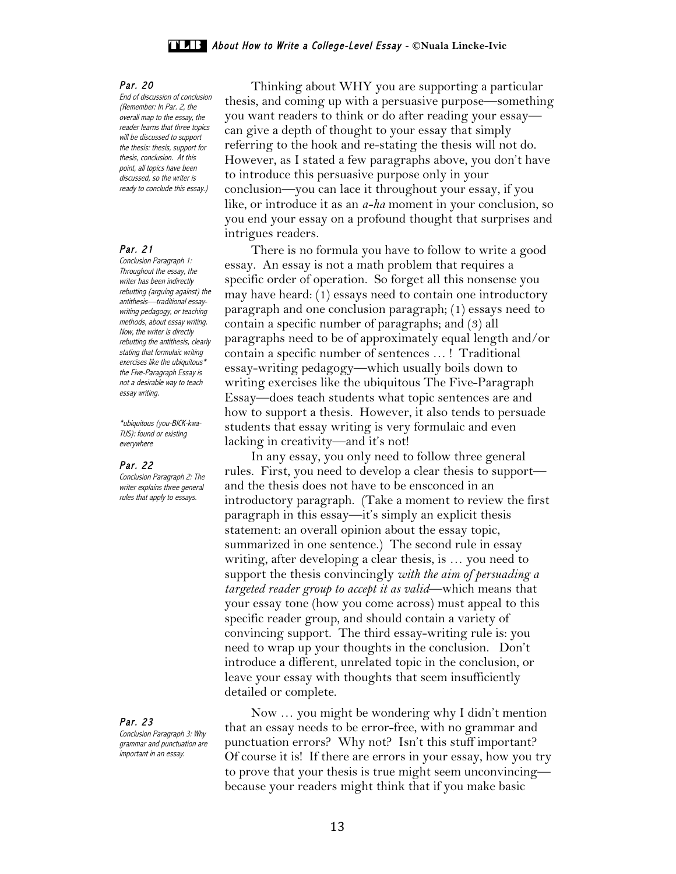#### Par. 20

End of discussion of conclusion (Remember: In Par. 2, the overall map to the essay, the reader learns that three topics will be discussed to support the thesis: thesis, support for thesis, conclusion. At this point, all topics have been discussed, so the writer is ready to conclude this essay.)

#### Par. 21

Conclusion Paragraph 1: Throughout the essay, the writer has been indirectly rebutting (arguing against) the antithesis—traditional essaywriting pedagogy, or teaching methods, about essay writing. Now, the writer is directly rebutting the antithesis, clearly stating that formulaic writing  $exercises like the ubiquitous*$ the Five-Paragraph Essay is not a desirable way to teach essay writing.

\*ubiquitous (you-BICK-kwa-TUS): found or existing everywhere

#### Par. 22

Conclusion Paragraph 2: The writer explains three general rules that apply to essays.

Par. 23 Conclusion Paragraph 3: Why grammar and punctuation are important in an essay.

 Thinking about WHY you are supporting a particular thesis, and coming up with a persuasive purpose—something you want readers to think or do after reading your essay can give a depth of thought to your essay that simply referring to the hook and re-stating the thesis will not do. However, as I stated a few paragraphs above, you don't have to introduce this persuasive purpose only in your conclusion—you can lace it throughout your essay, if you like, or introduce it as an *a-ha* moment in your conclusion, so you end your essay on a profound thought that surprises and intrigues readers.

 There is no formula you have to follow to write a good essay. An essay is not a math problem that requires a specific order of operation. So forget all this nonsense you may have heard: (1) essays need to contain one introductory paragraph and one conclusion paragraph; (1) essays need to contain a specific number of paragraphs; and (3) all paragraphs need to be of approximately equal length and/or contain a specific number of sentences … ! Traditional essay-writing pedagogy—which usually boils down to writing exercises like the ubiquitous The Five-Paragraph Essay—does teach students what topic sentences are and how to support a thesis. However, it also tends to persuade students that essay writing is very formulaic and even lacking in creativity—and it's not!

 In any essay, you only need to follow three general rules. First, you need to develop a clear thesis to support and the thesis does not have to be ensconced in an introductory paragraph. (Take a moment to review the first paragraph in this essay—it's simply an explicit thesis statement: an overall opinion about the essay topic, summarized in one sentence.) The second rule in essay writing, after developing a clear thesis, is … you need to support the thesis convincingly *with the aim of persuading a targeted reader group to accept it as valid*—which means that your essay tone (how you come across) must appeal to this specific reader group, and should contain a variety of convincing support. The third essay-writing rule is: you need to wrap up your thoughts in the conclusion. Don't introduce a different, unrelated topic in the conclusion, or leave your essay with thoughts that seem insufficiently detailed or complete.

 Now … you might be wondering why I didn't mention that an essay needs to be error-free, with no grammar and punctuation errors? Why not? Isn't this stuff important? Of course it is! If there are errors in your essay, how you try to prove that your thesis is true might seem unconvincing because your readers might think that if you make basic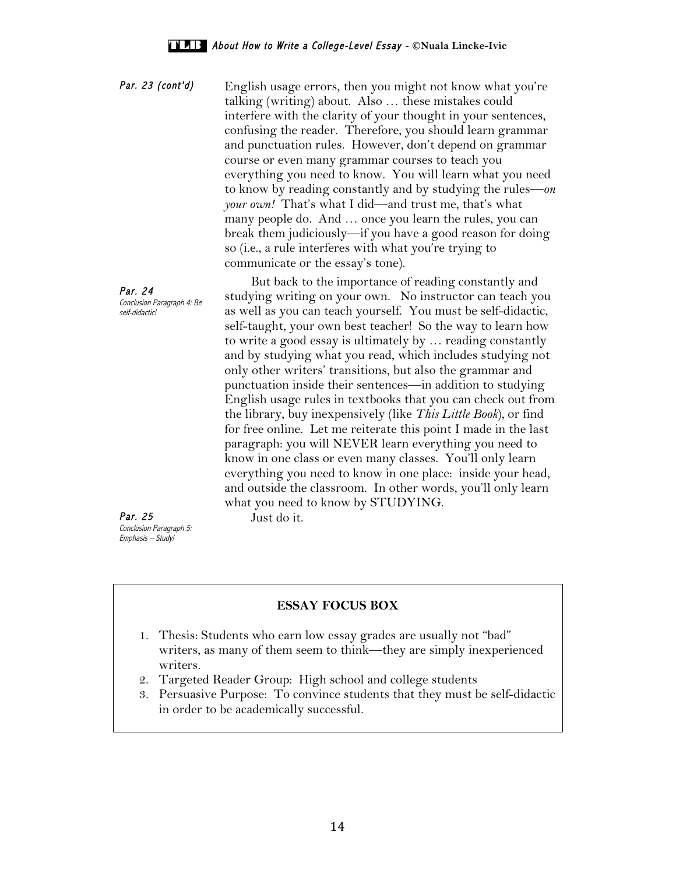Par. 23 (cont'd) English usage errors, then you might not know what you're talking (writing) about. Also … these mistakes could interfere with the clarity of your thought in your sentences, confusing the reader. Therefore, you should learn grammar and punctuation rules. However, don't depend on grammar course or even many grammar courses to teach you everything you need to know. You will learn what you need to know by reading constantly and by studying the rules—*on your own!* That's what I did—and trust me, that's what many people do. And … once you learn the rules, you can break them judiciously—if you have a good reason for doing so (i.e., a rule interferes with what you're trying to communicate or the essay's tone).

Par. 24<br>Conclusion Paragraph 4: Be But back to the importance of reading constantly and studying writing on your own. No instructor can teach you as well as you can teach yourself. You must be self-didactic, self-taught, your own best teacher! So the way to learn how to write a good essay is ultimately by … reading constantly and by studying what you read, which includes studying not only other writers' transitions, but also the grammar and punctuation inside their sentences—in addition to studying English usage rules in textbooks that you can check out from the library, buy inexpensively (like *This Little Book*), or find for free online. Let me reiterate this point I made in the last paragraph: you will NEVER learn everything you need to know in one class or even many classes. You'll only learn everything you need to know in one place: inside your head, and outside the classroom. In other words, you'll only learn what you need to know by STUDYING.

Par. 25 Conclusion Paragraph 5: Emphasis – Study!

self-didactic!

Just do it.

# **ESSAY FOCUS BOX**

- 1. Thesis: Students who earn low essay grades are usually not "bad" writers, as many of them seem to think—they are simply inexperienced writers.
- 2. Targeted Reader Group: High school and college students
- 3. Persuasive Purpose: To convince students that they must be self-didactic in order to be academically successful.

14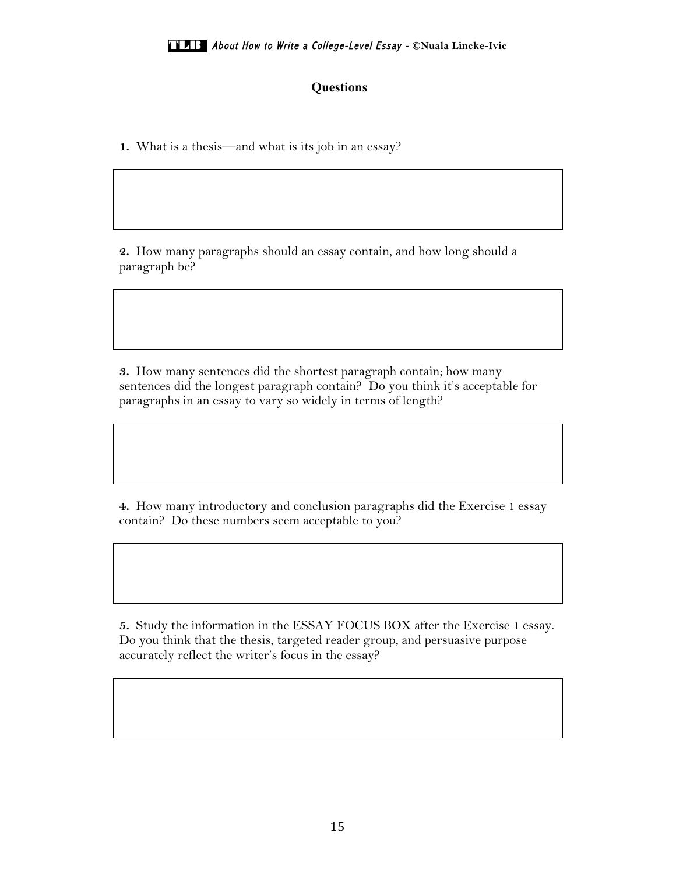# **Questions**

**1.** What is a thesis—and what is its job in an essay?

**2.** How many paragraphs should an essay contain, and how long should a paragraph be?

**3.** How many sentences did the shortest paragraph contain; how many sentences did the longest paragraph contain? Do you think it's acceptable for paragraphs in an essay to vary so widely in terms of length?

**4.** How many introductory and conclusion paragraphs did the Exercise 1 essay contain? Do these numbers seem acceptable to you?

**5.** Study the information in the ESSAY FOCUS BOX after the Exercise 1 essay. Do you think that the thesis, targeted reader group, and persuasive purpose accurately reflect the writer's focus in the essay?